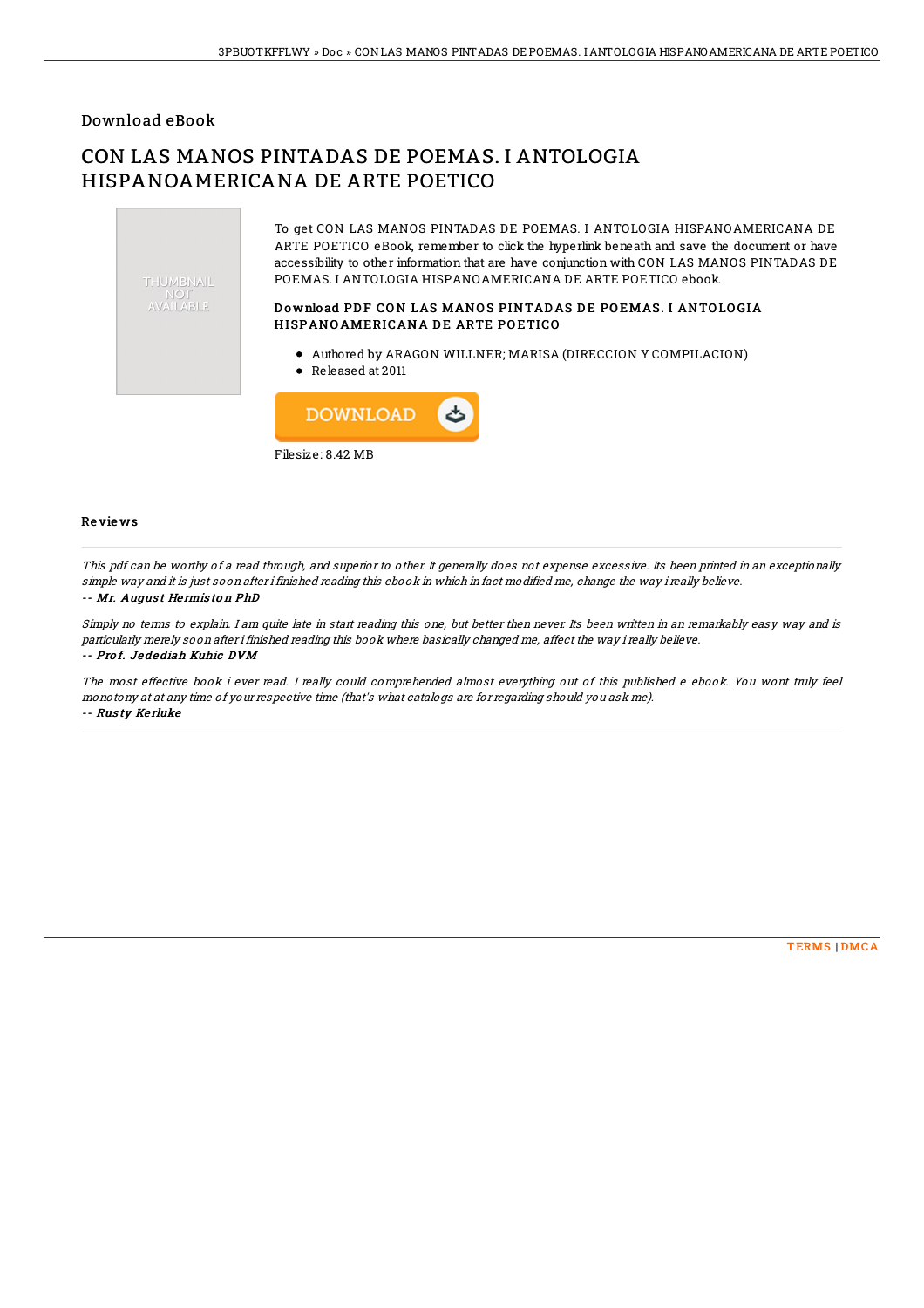### Download eBook

# CON LAS MANOS PINTADAS DE POEMAS. I ANTOLOGIA HISPANOAMERICANA DE ARTE POETICO



Filesize: 8.42 MB

#### Re vie ws

This pdf can be worthy of a read through, and superior to other. It generally does not expense excessive. Its been printed in an exceptionally simple way and it is just soon after i finished reading this ebook in which in fact modified me, change the way i really believe.

#### -- Mr. Augus <sup>t</sup> He rmis to <sup>n</sup> PhD

Simply no terms to explain. I am quite late in start reading this one, but better then never. Its been written in an remarkably easy way and is particularly merely soon after i finished reading this book where basically changed me, affect the way i really believe. -- Pro f. Jedediah Kuhic DVM

The most effective book i ever read. I really could comprehended almost everything out of this published <sup>e</sup> ebook. You wont truly feel monotony at at any time of your respective time (that's what catalogs are for regarding should you ask me). -- Rus ty Ke rluke